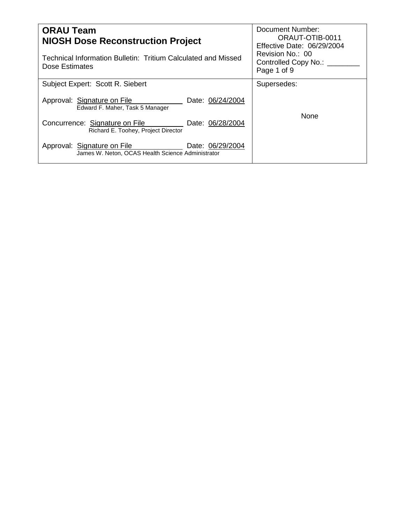| <b>ORAU Team</b><br><b>NIOSH Dose Reconstruction Project</b>                                         | Document Number:<br>ORAUT-OTIB-0011<br>Effective Date: 06/29/2004<br>Revision No.: 00<br>Controlled Copy No.: __<br>Page 1 of 9 |  |
|------------------------------------------------------------------------------------------------------|---------------------------------------------------------------------------------------------------------------------------------|--|
| Technical Information Bulletin: Tritium Calculated and Missed<br>Dose Estimates                      |                                                                                                                                 |  |
| Subject Expert: Scott R. Siebert                                                                     | Supersedes:                                                                                                                     |  |
| Approval: Signature on File<br>Date: 06/24/2004<br>Edward F. Maher, Task 5 Manager                   |                                                                                                                                 |  |
| Concurrence: Signature on File<br>Date: 06/28/2004<br>Richard E. Toohey, Project Director            | <b>None</b>                                                                                                                     |  |
| Date: 06/29/2004<br>Approval: Signature on File<br>James W. Neton, OCAS Health Science Administrator |                                                                                                                                 |  |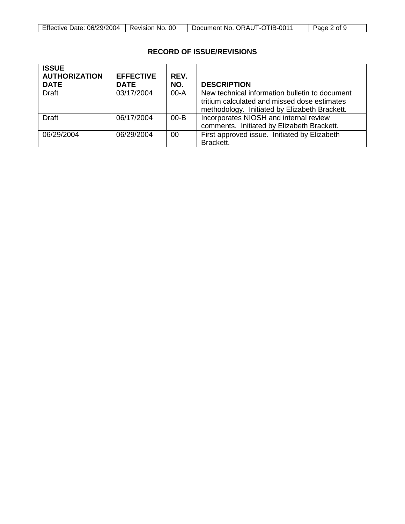| Effective Date: 06/29/2004   Revision No. 00 |  | Document No. ORAUT-OTIB-0011 | Page 2 of 9 |
|----------------------------------------------|--|------------------------------|-------------|
|----------------------------------------------|--|------------------------------|-------------|

 $\Box$ 

# **RECORD OF ISSUE/REVISIONS**

| <b>ISSUE</b><br><b>AUTHORIZATION</b><br><b>DATE</b> | <b>EFFECTIVE</b><br><b>DATE</b> | REV.<br>NO. | <b>DESCRIPTION</b>                                                                                                                              |
|-----------------------------------------------------|---------------------------------|-------------|-------------------------------------------------------------------------------------------------------------------------------------------------|
| <b>Draft</b>                                        | 03/17/2004                      | $00 - A$    | New technical information bulletin to document<br>tritium calculated and missed dose estimates<br>methodology. Initiated by Elizabeth Brackett. |
| Draft                                               | 06/17/2004                      | $00 - B$    | Incorporates NIOSH and internal review<br>comments. Initiated by Elizabeth Brackett.                                                            |
| 06/29/2004                                          | 06/29/2004                      | 00          | First approved issue. Initiated by Elizabeth<br>Brackett.                                                                                       |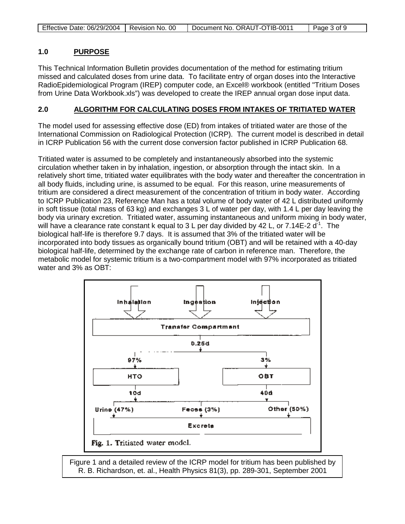| Effective Date: 06/29/2004   Revision No. 00 | Document No. ORAUT-OTIB-0011 | Page 3 of 9 |
|----------------------------------------------|------------------------------|-------------|
|----------------------------------------------|------------------------------|-------------|

#### **1.0 PURPOSE**

This Technical Information Bulletin provides documentation of the method for estimating tritium missed and calculated doses from urine data. To facilitate entry of organ doses into the Interactive RadioEpidemiological Program (IREP) computer code, an Excel® workbook (entitled "Tritium Doses from Urine Data Workbook.xls") was developed to create the IREP annual organ dose input data.

#### **2.0 ALGORITHM FOR CALCULATING DOSES FROM INTAKES OF TRITIATED WATER**

The model used for assessing effective dose (ED) from intakes of tritiated water are those of the International Commission on Radiological Protection (ICRP). The current model is described in detail in ICRP Publication 56 with the current dose conversion factor published in ICRP Publication 68.

Tritiated water is assumed to be completely and instantaneously absorbed into the systemic circulation whether taken in by inhalation, ingestion, or absorption through the intact skin. In a relatively short time, tritiated water equilibrates with the body water and thereafter the concentration in all body fluids, including urine, is assumed to be equal. For this reason, urine measurements of tritium are considered a direct measurement of the concentration of tritium in body water. According to ICRP Publication 23, Reference Man has a total volume of body water of 42 L distributed uniformly in soft tissue (total mass of 63 kg) and exchanges 3 L of water per day, with 1.4 L per day leaving the body via urinary excretion. Tritiated water, assuming instantaneous and uniform mixing in body water, will have a clearance rate constant k equal to 3 L per day divided by 42 L, or 7.14E-2  $d^1$ . The biological half-life is therefore 9.7 days. It is assumed that 3% of the tritiated water will be incorporated into body tissues as organically bound tritium (OBT) and will be retained with a 40-day biological half-life, determined by the exchange rate of carbon in reference man. Therefore, the metabolic model for systemic tritium is a two-compartment model with 97% incorporated as tritiated water and 3% as OBT:



Figure 1 and a detailed review of the ICRP model for tritium has been published by R. B. Richardson, et. al., Health Physics 81(3), pp. 289-301, September 2001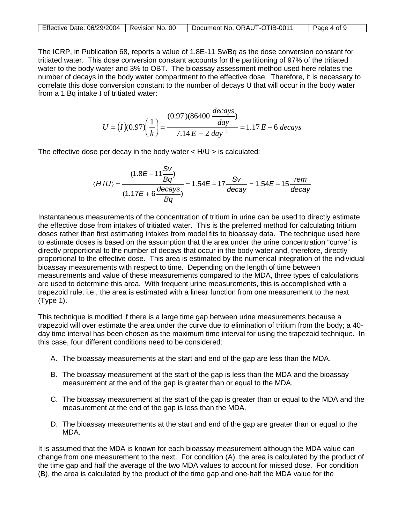| Effective Date: 06/29/2004   Revision No. 00 | Document No. ORAUT-OTIB-0011 | Page 4 of 9 |
|----------------------------------------------|------------------------------|-------------|

The ICRP, in Publication 68, reports a value of 1.8E-11 Sv/Bq as the dose conversion constant for tritiated water. This dose conversion constant accounts for the partitioning of 97% of the tritiated water to the body water and 3% to OBT. The bioassay assessment method used here relates the number of decays in the body water compartment to the effective dose. Therefore, it is necessary to correlate this dose conversion constant to the number of decays U that will occur in the body water from a 1 Bq intake I of tritiated water:

$$
U = (I)(0.97) \left(\frac{1}{k}\right) = \frac{(0.97)(86400 \frac{decays}{day})}{7.14 E - 2 day^{-1}} = 1.17 E + 6 \ decays
$$

The effective dose per decay in the body water  $\lt$  H/U  $>$  is calculated:

$$
\langle H/U \rangle = \frac{(1.8E - 11\frac{Sv}{Bq})}{(1.17E + 6\frac{decays}{Bq})} = 1.54E - 17\frac{Sv}{decay} = 1.54E - 15\frac{rem}{decay}
$$

Instantaneous measurements of the concentration of tritium in urine can be used to directly estimate the effective dose from intakes of tritiated water. This is the preferred method for calculating tritium doses rather than first estimating intakes from model fits to bioassay data. The technique used here to estimate doses is based on the assumption that the area under the urine concentration "curve" is directly proportional to the number of decays that occur in the body water and, therefore, directly proportional to the effective dose. This area is estimated by the numerical integration of the individual bioassay measurements with respect to time. Depending on the length of time between measurements and value of these measurements compared to the MDA, three types of calculations are used to determine this area. With frequent urine measurements, this is accomplished with a trapezoid rule, i.e., the area is estimated with a linear function from one measurement to the next (Type 1).

This technique is modified if there is a large time gap between urine measurements because a trapezoid will over estimate the area under the curve due to elimination of tritium from the body; a 40 day time interval has been chosen as the maximum time interval for using the trapezoid technique. In this case, four different conditions need to be considered:

- A. The bioassay measurements at the start and end of the gap are less than the MDA.
- B. The bioassay measurement at the start of the gap is less than the MDA and the bioassay measurement at the end of the gap is greater than or equal to the MDA.
- C. The bioassay measurement at the start of the gap is greater than or equal to the MDA and the measurement at the end of the gap is less than the MDA.
- D. The bioassay measurements at the start and end of the gap are greater than or equal to the MDA.

It is assumed that the MDA is known for each bioassay measurement although the MDA value can change from one measurement to the next. For condition (A), the area is calculated by the product of the time gap and half the average of the two MDA values to account for missed dose. For condition (B), the area is calculated by the product of the time gap and one-half the MDA value for the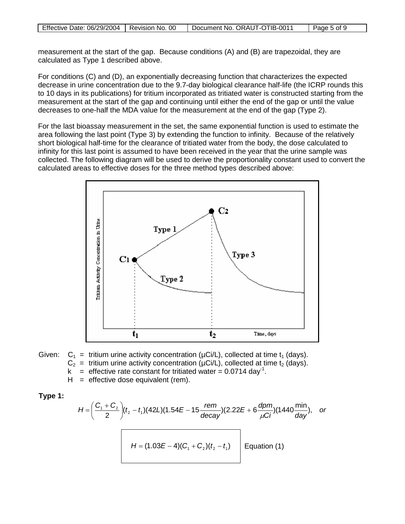| Effective Date: 06/29/2004   Revision No. 00 | Document No. ORAUT-OTIB-0011 | Page 5 of 9 |
|----------------------------------------------|------------------------------|-------------|

measurement at the start of the gap. Because conditions (A) and (B) are trapezoidal, they are calculated as Type 1 described above.

For conditions (C) and (D), an exponentially decreasing function that characterizes the expected decrease in urine concentration due to the 9.7-day biological clearance half-life (the ICRP rounds this to 10 days in its publications) for tritium incorporated as tritiated water is constructed starting from the measurement at the start of the gap and continuing until either the end of the gap or until the value decreases to one-half the MDA value for the measurement at the end of the gap (Type 2).

For the last bioassay measurement in the set, the same exponential function is used to estimate the area following the last point (Type 3) by extending the function to infinity. Because of the relatively short biological half-time for the clearance of tritiated water from the body, the dose calculated to infinity for this last point is assumed to have been received in the year that the urine sample was collected. The following diagram will be used to derive the proportionality constant used to convert the calculated areas to effective doses for the three method types described above:





 $H =$  effective dose equivalent (rem).

**Type 1:** 

$$
H = \left(\frac{C_1 + C_2}{2}\right)(t_2 - t_1)(42L)(1.54E - 15\frac{rem}{decay})(2.22E + 6\frac{dpm}{\mu Ci})(1440\frac{min}{day}), or
$$
  

$$
H = (1.03E - 4)(C_1 + C_2)(t_2 - t_1)
$$
Equation (1)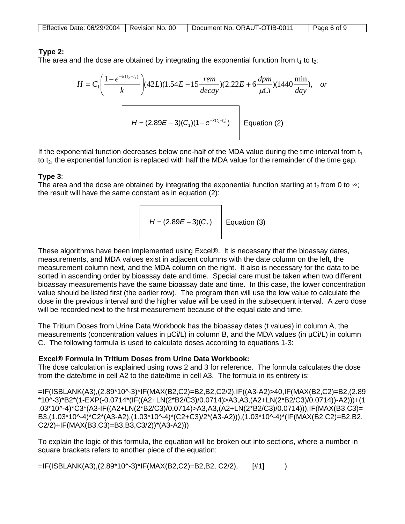| Effective Date: 06/29/2004   Revision No. 00 |  | Document No. ORAUT-OTIB-0011 | Page 6 of 9 |
|----------------------------------------------|--|------------------------------|-------------|
|----------------------------------------------|--|------------------------------|-------------|

# **Type 2:**

The area and the dose are obtained by integrating the exponential function from  $t_1$  to  $t_2$ :

$$
H = C_1 \left( \frac{1 - e^{-k(t_2 - t_1)}}{k} \right) (42L)(1.54E - 15 \frac{rem}{decay})(2.22E + 6 \frac{dpm}{\mu Ci})(1440 \frac{min}{day}), or
$$
  

$$
H = (2.89E - 3)(C_1)(1 - e^{-k(t_2 - t_1)})
$$
 Equation (2)

If the exponential function decreases below one-half of the MDA value during the time interval from  $t_1$ to  $t<sub>2</sub>$ , the exponential function is replaced with half the MDA value for the remainder of the time gap.

### **Type 3**:

The area and the dose are obtained by integrating the exponential function starting at  $t_2$  from 0 to  $\infty$ ; the result will have the same constant as in equation (2):

$$
H = (2.89E - 3)(C_2)
$$
 Equation (3)

These algorithms have been implemented using Excel®. It is necessary that the bioassay dates, measurements, and MDA values exist in adjacent columns with the date column on the left, the measurement column next, and the MDA column on the right. It also is necessary for the data to be sorted in ascending order by bioassay date and time. Special care must be taken when two different bioassay measurements have the same bioassay date and time. In this case, the lower concentration value should be listed first (the earlier row). The program then will use the low value to calculate the dose in the previous interval and the higher value will be used in the subsequent interval. A zero dose will be recorded next to the first measurement because of the equal date and time.

The Tritium Doses from Urine Data Workbook has the bioassay dates (t values) in column A, the measurements (concentration values in  $\mu$ Ci/L) in column B, and the MDA values (in  $\mu$ Ci/L) in column C. The following formula is used to calculate doses according to equations 1-3:

### **Excel® Formula in Tritium Doses from Urine Data Workbook:**

The dose calculation is explained using rows 2 and 3 for reference. The formula calculates the dose from the date/time in cell A2 to the date/time in cell A3. The formula in its entirety is:

=IF(ISBLANK(A3),(2.89\*10^-3)\*IF(MAX(B2,C2)=B2,B2,C2/2),IF((A3-A2)>40,IF(MAX(B2,C2)=B2,(2.89 \*10^-3)\*B2\*(1-EXP(-0.0714\*(IF((A2+LN(2\*B2/C3)/0.0714)>A3,A3,(A2+LN(2\*B2/C3)/0.0714))-A2)))+(1 .03\*10^-4)\*C3\*(A3-IF((A2+LN(2\*B2/C3)/0.0714)>A3,A3,(A2+LN(2\*B2/C3)/0.0714))),IF(MAX(B3,C3)= B3,(1.03\*10^-4)\*C2\*(A3-A2),(1.03\*10^-4)\*(C2+C3)/2\*(A3-A2))),(1.03\*10^-4)\*(IF(MAX(B2,C2)=B2,B2, C2/2)+IF(MAX(B3,C3)=B3,B3,C3/2))\*(A3-A2)))

To explain the logic of this formula, the equation will be broken out into sections, where a number in square brackets refers to another piece of the equation:

=IF(ISBLANK(A3),(2.89\*10^-3)\*IF(MAX(B2,C2)=B2,B2, C2/2), [#1] )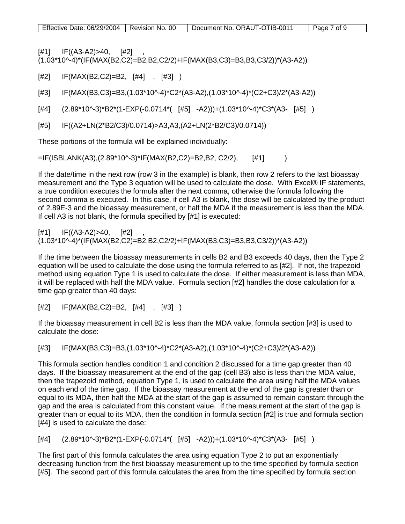$[t41]$  IF((A3-A2)>40, [#2] (1.03\*10^-4)\*(IF(MAX(B2,C2)=B2,B2,C2/2)+IF(MAX(B3,C3)=B3,B3,C3/2))\*(A3-A2))

[#2] IF(MAX(B2,C2)=B2, [#4] , [#3] )

[#3] IF(MAX(B3,C3)=B3,(1.03\*10^-4)\*C2\*(A3-A2),(1.03\*10^-4)\*(C2+C3)/2\*(A3-A2))

 $[#4]$   $(2.89*10^{\circ}-3)*B2*(1-EXP(-0.0714*(-[#5] -A2)))+ (1.03*10^{\circ}-4)*C3*(A3-[#5] )$ 

[#5] IF((A2+LN(2\*B2/C3)/0.0714)>A3,A3,(A2+LN(2\*B2/C3)/0.0714))

These portions of the formula will be explained individually:

=IF(ISBLANK(A3),(2.89\*10^-3)\*IF(MAX(B2,C2)=B2,B2, C2/2), [#1] )

If the date/time in the next row (row 3 in the example) is blank, then row 2 refers to the last bioassay measurement and the Type 3 equation will be used to calculate the dose. With Excel® IF statements, a true condition executes the formula after the next comma, otherwise the formula following the second comma is executed. In this case, if cell A3 is blank, the dose will be calculated by the product of 2.89E-3 and the bioassay measurement, or half the MDA if the measurement is less than the MDA. If cell A3 is not blank, the formula specified by [#1] is executed:

 $[#1]$  IF((A3-A2)>40,  $[#2]$ (1.03\*10^-4)\*(IF(MAX(B2,C2)=B2,B2,C2/2)+IF(MAX(B3,C3)=B3,B3,C3/2))\*(A3-A2))

If the time between the bioassay measurements in cells B2 and B3 exceeds 40 days, then the Type 2 equation will be used to calculate the dose using the formula referred to as [#2]. If not, the trapezoid method using equation Type 1 is used to calculate the dose. If either measurement is less than MDA, it will be replaced with half the MDA value. Formula section [#2] handles the dose calculation for a time gap greater than 40 days:

[#2] IF(MAX(B2,C2)=B2, [#4] , [#3] )

If the bioassay measurement in cell B2 is less than the MDA value, formula section [#3] is used to calculate the dose:

[#3] IF(MAX(B3,C3)=B3,(1.03\*10^-4)\*C2\*(A3-A2),(1.03\*10^-4)\*(C2+C3)/2\*(A3-A2))

This formula section handles condition 1 and condition 2 discussed for a time gap greater than 40 days. If the bioassay measurement at the end of the gap (cell B3) also is less than the MDA value, then the trapezoid method, equation Type 1, is used to calculate the area using half the MDA values on each end of the time gap. If the bioassay measurement at the end of the gap is greater than or equal to its MDA, then half the MDA at the start of the gap is assumed to remain constant through the gap and the area is calculated from this constant value. If the measurement at the start of the gap is greater than or equal to its MDA, then the condition in formula section [#2] is true and formula section [#4] is used to calculate the dose:

 $[#4]$   $(2.89*10^{\circ}-3)*B2*(1-EXP(-0.0714*(-[#5] -A2)))+ (1.03*10^{\circ}-4)*C3*(A3-[#5] )$ 

The first part of this formula calculates the area using equation Type 2 to put an exponentially decreasing function from the first bioassay measurement up to the time specified by formula section [#5]. The second part of this formula calculates the area from the time specified by formula section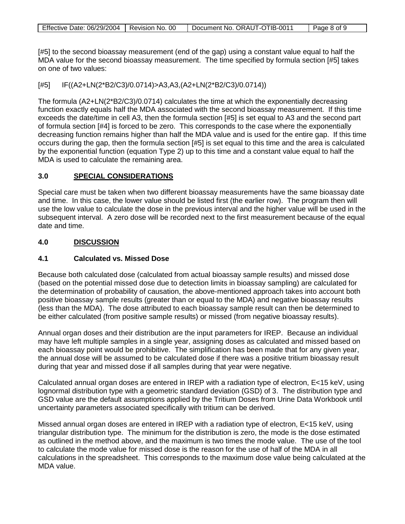[#5] to the second bioassay measurement (end of the gap) using a constant value equal to half the MDA value for the second bioassay measurement. The time specified by formula section [#5] takes on one of two values:

[#5] IF((A2+LN(2\*B2/C3)/0.0714)>A3,A3,(A2+LN(2\*B2/C3)/0.0714))

The formula (A2+LN(2\*B2/C3)/0.0714) calculates the time at which the exponentially decreasing function exactly equals half the MDA associated with the second bioassay measurement. If this time exceeds the date/time in cell A3, then the formula section [#5] is set equal to A3 and the second part of formula section [#4] is forced to be zero. This corresponds to the case where the exponentially decreasing function remains higher than half the MDA value and is used for the entire gap. If this time occurs during the gap, then the formula section [#5] is set equal to this time and the area is calculated by the exponential function (equation Type 2) up to this time and a constant value equal to half the MDA is used to calculate the remaining area.

#### **3.0 SPECIAL CONSIDERATIONS**

Special care must be taken when two different bioassay measurements have the same bioassay date and time. In this case, the lower value should be listed first (the earlier row). The program then will use the low value to calculate the dose in the previous interval and the higher value will be used in the subsequent interval. A zero dose will be recorded next to the first measurement because of the equal date and time.

#### **4.0 DISCUSSION**

# **4.1 Calculated vs. Missed Dose**

Because both calculated dose (calculated from actual bioassay sample results) and missed dose (based on the potential missed dose due to detection limits in bioassay sampling) are calculated for the determination of probability of causation, the above-mentioned approach takes into account both positive bioassay sample results (greater than or equal to the MDA) and negative bioassay results (less than the MDA). The dose attributed to each bioassay sample result can then be determined to be either calculated (from positive sample results) or missed (from negative bioassay results).

Annual organ doses and their distribution are the input parameters for IREP. Because an individual may have left multiple samples in a single year, assigning doses as calculated and missed based on each bioassay point would be prohibitive. The simplification has been made that for any given year, the annual dose will be assumed to be calculated dose if there was a positive tritium bioassay result during that year and missed dose if all samples during that year were negative.

Calculated annual organ doses are entered in IREP with a radiation type of electron, E<15 keV, using lognormal distribution type with a geometric standard deviation (GSD) of 3. The distribution type and GSD value are the default assumptions applied by the Tritium Doses from Urine Data Workbook until uncertainty parameters associated specifically with tritium can be derived.

Missed annual organ doses are entered in IREP with a radiation type of electron, E<15 keV, using triangular distribution type. The minimum for the distribution is zero, the mode is the dose estimated as outlined in the method above, and the maximum is two times the mode value. The use of the tool to calculate the mode value for missed dose is the reason for the use of half of the MDA in all calculations in the spreadsheet. This corresponds to the maximum dose value being calculated at the MDA value.